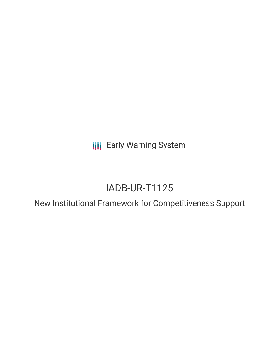**III** Early Warning System

# IADB-UR-T1125

New Institutional Framework for Competitiveness Support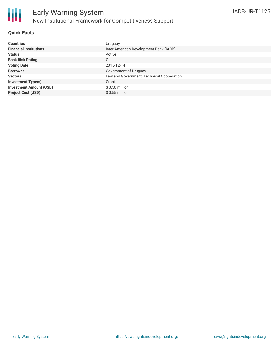

### **Quick Facts**

| <b>Countries</b>               | Uruguay                                   |
|--------------------------------|-------------------------------------------|
| <b>Financial Institutions</b>  | Inter-American Development Bank (IADB)    |
| <b>Status</b>                  | Active                                    |
| <b>Bank Risk Rating</b>        | C                                         |
| <b>Voting Date</b>             | 2015-12-14                                |
| <b>Borrower</b>                | Government of Uruguay                     |
| <b>Sectors</b>                 | Law and Government, Technical Cooperation |
| <b>Investment Type(s)</b>      | Grant                                     |
| <b>Investment Amount (USD)</b> | $$0.50$ million                           |
| <b>Project Cost (USD)</b>      | $$0.55$ million                           |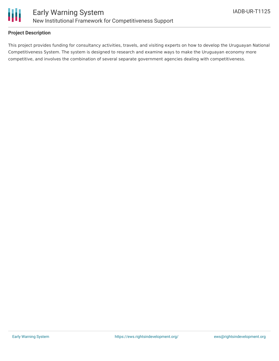

### **Project Description**

This project provides funding for consultancy activities, travels, and visiting experts on how to develop the Uruguayan National Competitiveness System. The system is designed to research and examine ways to make the Uruguayan economy more competitive, and involves the combination of several separate government agencies dealing with competitiveness.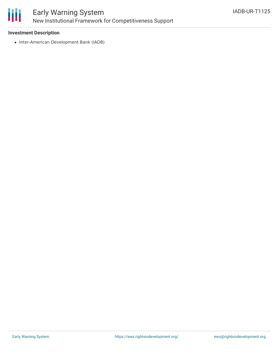

### **Investment Description**

• Inter-American Development Bank (IADB)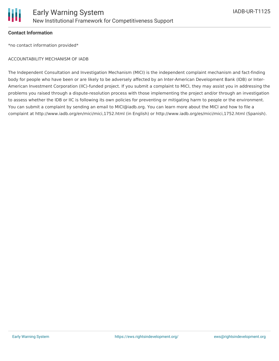

### **Contact Information**

\*no contact information provided\*

#### ACCOUNTABILITY MECHANISM OF IADB

The Independent Consultation and Investigation Mechanism (MICI) is the independent complaint mechanism and fact-finding body for people who have been or are likely to be adversely affected by an Inter-American Development Bank (IDB) or Inter-American Investment Corporation (IIC)-funded project. If you submit a complaint to MICI, they may assist you in addressing the problems you raised through a dispute-resolution process with those implementing the project and/or through an investigation to assess whether the IDB or IIC is following its own policies for preventing or mitigating harm to people or the environment. You can submit a complaint by sending an email to MICI@iadb.org. You can learn more about the MICI and how to file a complaint at http://www.iadb.org/en/mici/mici,1752.html (in English) or http://www.iadb.org/es/mici/mici,1752.html (Spanish).